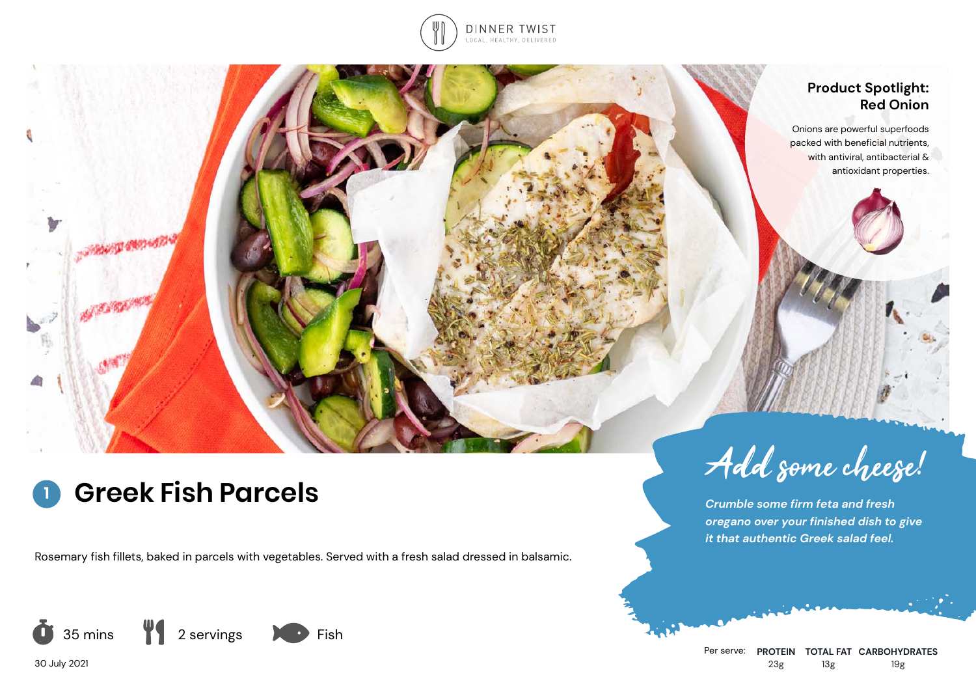

## **Product Spotlight: Red Onion**

Onions are powerful superfoods packed with beneficial nutrients, with antiviral, antibacterial & antioxidant properties.

# **1**

**COMMONS** 

Rosemary fish fillets, baked in parcels with vegetables. Served with a fresh salad dressed in balsamic.



Greek Fish Parcels

*Crumble some firm feta and fresh oregano over your finished dish to give it that authentic Greek salad feel.*